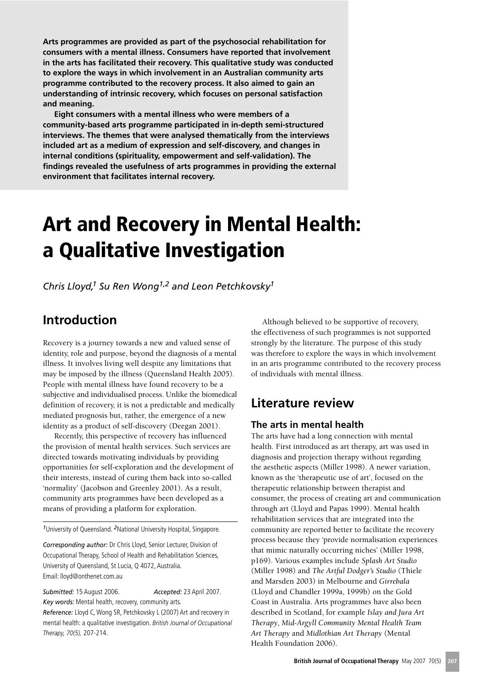Arts programmes are provided as part of the psychosocial rehabilitation for consumers with a mental illness. Consumers have reported that involvement in the arts has facilitated their recovery. This qualitative study was conducted to explore the ways in which involvement in an Australian community arts programme contributed to the recovery process. It also aimed to gain an understanding of intrinsic recovery, which focuses on personal satisfaction and meaning.

Eight consumers with a mental illness who were members of a community-based arts programme participated in in-depth semi-structured interviews. The themes that were analysed thematically from the interviews included art as a medium of expression and self-discovery, and changes in internal conditions (spirituality, empowerment and self-validation). The findings revealed the usefulness of arts programmes in providing the external environment that facilitates internal recovery.

# **Art and Recovery in Mental Health:** a Qualitative Investigation

Chris Lloyd,<sup>1</sup> Su Ren Wong<sup>1,2</sup> and Leon Petchkovsky<sup>1</sup>

# Introduction

Recovery is a journey towards a new and valued sense of identity, role and purpose, beyond the diagnosis of a mental illness. It involves living well despite any limitations that may be imposed by the illness (Queensland Health 2005). People with mental illness have found recovery to be a subjective and individualised process. Unlike the biomedical definition of recovery, it is not a predictable and medically mediated prognosis but, rather, the emergence of a new identity as a product of self-discovery (Deegan 2001).

Recently, this perspective of recovery has influenced the provision of mental health services. Such services are directed towards motivating individuals by providing opportunities for self-exploration and the development of their interests, instead of curing them back into so-called 'normality' (Jacobson and Greenley 2001). As a result, community arts programmes have been developed as a means of providing a platform for exploration.

<sup>1</sup>University of Queensland. <sup>2</sup>National University Hospital, Singapore.

Corresponding author: Dr Chris Lloyd, Senior Lecturer, Division of Occupational Therapy, School of Health and Rehabilitation Sciences, University of Queensland, St Lucia, Q 4072, Australia. Email: lloyd@onthenet.com.au

Submitted: 15 August 2006. Key words: Mental health, recovery, community arts.

Accepted: 23 April 2007.

Reference: Lloyd C, Wong SR, Petchkovsky L (2007) Art and recovery in mental health: a qualitative investigation. British Journal of Occupational Therapy, 70(5), 207-214.

Although believed to be supportive of recovery, the effectiveness of such programmes is not supported strongly by the literature. The purpose of this study was therefore to explore the ways in which involvement in an arts programme contributed to the recovery process of individuals with mental illness.

# Literature review

# The arts in mental health

The arts have had a long connection with mental health. First introduced as art therapy, art was used in diagnosis and projection therapy without regarding the aesthetic aspects (Miller 1998). A newer variation, known as the 'therapeutic use of art', focused on the therapeutic relationship between therapist and consumer, the process of creating art and communication through art (Lloyd and Papas 1999). Mental health rehabilitation services that are integrated into the community are reported better to facilitate the recovery process because they 'provide normalisation experiences that mimic naturally occurring niches' (Miller 1998, p169). Various examples include Splash Art Studio (Miller 1998) and The Artful Dodger's Studio (Thiele and Marsden 2003) in Melbourne and Girrebala (Lloyd and Chandler 1999a, 1999b) on the Gold Coast in Australia. Arts programmes have also been described in Scotland, for example Islay and Jura Art Therapy, Mid-Argyll Community Mental Health Team Art Therapy and Midlothian Art Therapy (Mental Health Foundation 2006).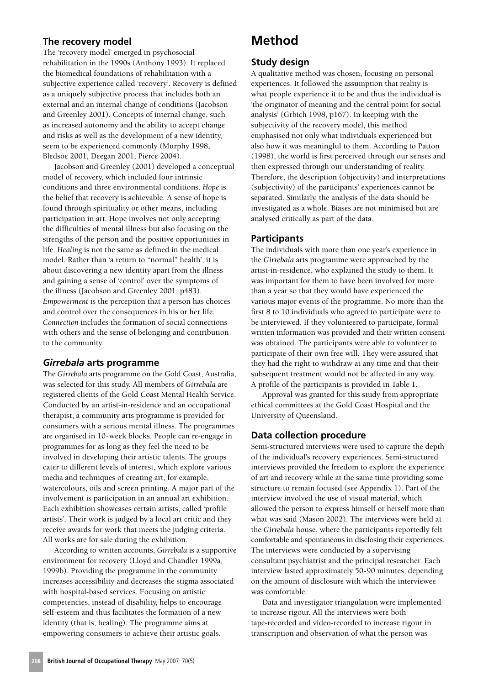# The recovery model

The 'recovery model' emerged in psychosocial rehabilitation in the 1990s (Anthony 1993). It replaced the biomedical foundations of rehabilitation with a subjective experience called 'recovery'. Recovery is defined as a uniquely subjective process that includes both an external and an internal change of conditions (Jacobson and Greenley 2001). Concepts of internal change, such as increased autonomy and the ability to accept change and risks as well as the development of a new identity, seem to be experienced commonly (Murphy 1998, Bledsoe 2001, Deegan 2001, Pierce 2004).

Jacobson and Greenley (2001) developed a conceptual model of recovery, which included four intrinsic conditions and three environmental conditions. Hope is the belief that recovery is achievable. A sense of hope is found through spirituality or other means, including participation in art. Hope involves not only accepting the difficulties of mental illness but also focusing on the strengths of the person and the positive opportunities in life. Healing is not the same as defined in the medical model. Rather than 'a return to "normal" health', it is about discovering a new identity apart from the illness and gaining a sense of 'control' over the symptoms of the illness (Jacobson and Greenley 2001, p483). Empowerment is the perception that a person has choices and control over the consequences in his or her life. Connection includes the formation of social connections with others and the sense of belonging and contribution to the community.

#### Girrebala arts programme

The Girrebala arts programme on the Gold Coast, Australia, was selected for this study. All members of Girrebala are registered clients of the Gold Coast Mental Health Service. Conducted by an artist-in-residence and an occupational therapist, a community arts programme is provided for consumers with a serious mental illness. The programmes are organised in 10-week blocks. People can re-engage in programmes for as long as they feel the need to be involved in developing their artistic talents. The groups cater to different levels of interest, which explore various media and techniques of creating art, for example, watercolours, oils and screen printing. A major part of the involvement is participation in an annual art exhibition. Each exhibition showcases certain artists, called 'profile artists'. Their work is judged by a local art critic and they receive awards for work that meets the judging criteria. All works are for sale during the exhibition.

According to written accounts, Girrebala is a supportive environment for recovery (Lloyd and Chandler 1999a, 1999b). Providing the programme in the community increases accessibility and decreases the stigma associated with hospital-based services. Focusing on artistic competencies, instead of disability, helps to encourage self-esteem and thus facilitates the formation of a new identity (that is, healing). The programme aims at empowering consumers to achieve their artistic goals.

# **Method**

# **Study design**

A qualitative method was chosen, focusing on personal experiences. It followed the assumption that reality is what people experience it to be and thus the individual is 'the originator of meaning and the central point for social analysis' (Grbich 1998, p167). In keeping with the subjectivity of the recovery model, this method emphasised not only what individuals experienced but also how it was meaningful to them. According to Patton (1998), the world is first perceived through our senses and then expressed through our understanding of reality. Therefore, the description (objectivity) and interpretations (subjectivity) of the participants' experiences cannot be separated. Similarly, the analysis of the data should be investigated as a whole. Biases are not minimised but are analysed critically as part of the data.

### **Participants**

The individuals with more than one year's experience in the Girrebala arts programme were approached by the artist-in-residence, who explained the study to them. It was important for them to have been involved for more than a year so that they would have experienced the various major events of the programme. No more than the first 8 to 10 individuals who agreed to participate were to be interviewed. If they volunteered to participate, formal written information was provided and their written consent was obtained. The participants were able to volunteer to participate of their own free will. They were assured that they had the right to withdraw at any time and that their subsequent treatment would not be affected in any way. A profile of the participants is provided in Table 1.

Approval was granted for this study from appropriate ethical committees at the Gold Coast Hospital and the University of Queensland.

# Data collection procedure

Semi-structured interviews were used to capture the depth of the individual's recovery experiences. Semi-structured interviews provided the freedom to explore the experience of art and recovery while at the same time providing some structure to remain focused (see Appendix 1). Part of the interview involved the use of visual material, which allowed the person to express himself or herself more than what was said (Mason 2002). The interviews were held at the Girrebala house, where the participants reportedly felt comfortable and spontaneous in disclosing their experiences. The interviews were conducted by a supervising consultant psychiatrist and the principal researcher. Each interview lasted approximately 50-90 minutes, depending on the amount of disclosure with which the interviewee was comfortable.

Data and investigator triangulation were implemented to increase rigour. All the interviews were both tape-recorded and video-recorded to increase rigour in transcription and observation of what the person was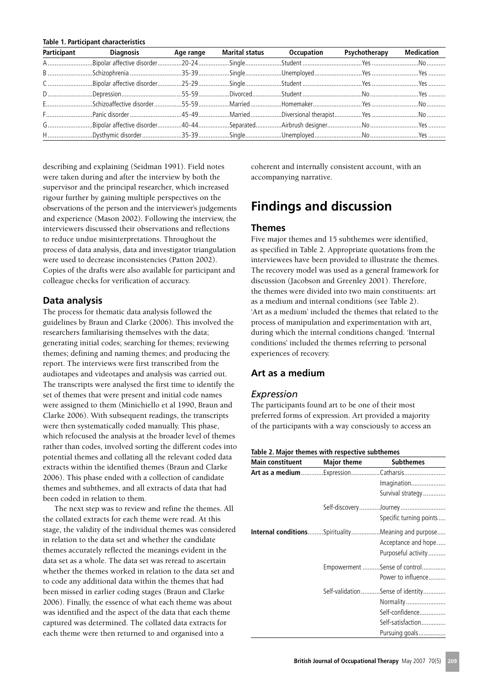#### Table 1. Participant characteristics

| Participant Diagnosis Age range Marital status Occupation Psychotherapy Medication |  |  |  |
|------------------------------------------------------------------------------------|--|--|--|
|                                                                                    |  |  |  |
|                                                                                    |  |  |  |
|                                                                                    |  |  |  |
|                                                                                    |  |  |  |
|                                                                                    |  |  |  |
|                                                                                    |  |  |  |
|                                                                                    |  |  |  |
|                                                                                    |  |  |  |

describing and explaining (Seidman 1991). Field notes were taken during and after the interview by both the supervisor and the principal researcher, which increased rigour further by gaining multiple perspectives on the observations of the person and the interviewer's judgements and experience (Mason 2002). Following the interview, the interviewers discussed their observations and reflections to reduce undue misinterpretations. Throughout the process of data analysis, data and investigator triangulation were used to decrease inconsistencies (Patton 2002). Copies of the drafts were also available for participant and colleague checks for verification of accuracy.

### Data analysis

The process for thematic data analysis followed the guidelines by Braun and Clarke (2006). This involved the researchers familiarising themselves with the data; generating initial codes; searching for themes; reviewing themes; defining and naming themes; and producing the report. The interviews were first transcribed from the audiotapes and videotapes and analysis was carried out. The transcripts were analysed the first time to identify the set of themes that were present and initial code names were assigned to them (Minichiello et al 1990, Braun and Clarke 2006). With subsequent readings, the transcripts were then systematically coded manually. This phase, which refocused the analysis at the broader level of themes rather than codes, involved sorting the different codes into potential themes and collating all the relevant coded data extracts within the identified themes (Braun and Clarke 2006). This phase ended with a collection of candidate themes and subthemes, and all extracts of data that had been coded in relation to them.

The next step was to review and refine the themes. All the collated extracts for each theme were read. At this stage, the validity of the individual themes was considered in relation to the data set and whether the candidate themes accurately reflected the meanings evident in the data set as a whole. The data set was reread to ascertain whether the themes worked in relation to the data set and to code any additional data within the themes that had been missed in earlier coding stages (Braun and Clarke 2006). Finally, the essence of what each theme was about was identified and the aspect of the data that each theme captured was determined. The collated data extracts for each theme were then returned to and organised into a

coherent and internally consistent account, with an accompanying narrative.

# **Findings and discussion**

#### **Themes**

Five major themes and 15 subthemes were identified, as specified in Table 2. Appropriate quotations from the interviewees have been provided to illustrate the themes. The recovery model was used as a general framework for discussion (Jacobson and Greenley 2001). Therefore, the themes were divided into two main constituents: art as a medium and internal conditions (see Table 2). 'Art as a medium' included the themes that related to the process of manipulation and experimentation with art, during which the internal conditions changed. 'Internal conditions' included the themes referring to personal experiences of recovery.

### Art as a medium

#### Expression

The participants found art to be one of their most preferred forms of expression. Art provided a majority of the participants with a way consciously to access an

#### Table 2. Major themes with respective subthemes

| Main constituent | <b>Major theme</b> | <b>Subthemes</b>                                           |
|------------------|--------------------|------------------------------------------------------------|
|                  |                    | Art as a medium Expression Catharsis                       |
|                  |                    | Imagination                                                |
|                  |                    | Survival strategy                                          |
|                  |                    | Self-discoveryJourney                                      |
|                  |                    | Specific turning points                                    |
|                  |                    | <b>Internal conditions</b> SpiritualityMeaning and purpose |
|                  |                    | Acceptance and hope                                        |
|                  |                    | Purposeful activity                                        |
|                  |                    | Empowerment Sense of control                               |
|                  |                    | Power to influence                                         |
|                  |                    | Self-validationSense of identity                           |
|                  |                    | Normality                                                  |
|                  |                    | Self-confidence                                            |
|                  |                    | Self-satisfaction                                          |
|                  |                    | Pursuing goals                                             |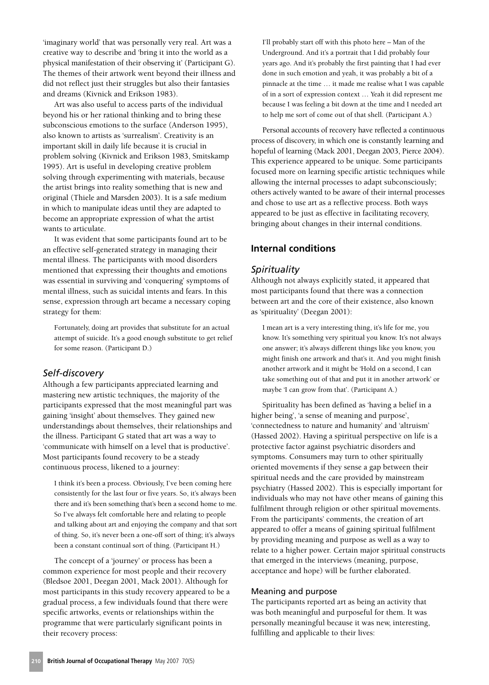'imaginary world' that was personally very real. Art was a creative way to describe and 'bring it into the world as a physical manifestation of their observing it' (Participant G). The themes of their artwork went beyond their illness and did not reflect just their struggles but also their fantasies and dreams (Kivnick and Erikson 1983).

Art was also useful to access parts of the individual beyond his or her rational thinking and to bring these subconscious emotions to the surface (Anderson 1995). also known to artists as 'surrealism'. Creativity is an important skill in daily life because it is crucial in problem solving (Kivnick and Erikson 1983, Smitskamp 1995). Art is useful in developing creative problem solving through experimenting with materials, because the artist brings into reality something that is new and original (Thiele and Marsden 2003). It is a safe medium in which to manipulate ideas until they are adapted to become an appropriate expression of what the artist wants to articulate.

It was evident that some participants found art to be an effective self-generated strategy in managing their mental illness. The participants with mood disorders mentioned that expressing their thoughts and emotions was essential in surviving and 'conquering' symptoms of mental illness, such as suicidal intents and fears. In this sense, expression through art became a necessary coping strategy for them:

Fortunately, doing art provides that substitute for an actual attempt of suicide. It's a good enough substitute to get relief for some reason. (Participant D.)

#### Self-discovery

Although a few participants appreciated learning and mastering new artistic techniques, the majority of the participants expressed that the most meaningful part was gaining 'insight' about themselves. They gained new understandings about themselves, their relationships and the illness. Participant G stated that art was a way to 'communicate with himself on a level that is productive'. Most participants found recovery to be a steady continuous process, likened to a journey:

I think it's been a process. Obviously, I've been coming here consistently for the last four or five years. So, it's always been there and it's been something that's been a second home to me. So I've always felt comfortable here and relating to people and talking about art and enjoying the company and that sort of thing. So, it's never been a one-off sort of thing; it's always been a constant continual sort of thing. (Participant H.)

The concept of a 'journey' or process has been a common experience for most people and their recovery (Bledsoe 2001, Deegan 2001, Mack 2001). Although for most participants in this study recovery appeared to be a gradual process, a few individuals found that there were specific artworks, events or relationships within the programme that were particularly significant points in their recovery process:

I'll probably start off with this photo here - Man of the Underground. And it's a portrait that I did probably four years ago. And it's probably the first painting that I had ever done in such emotion and yeah, it was probably a bit of a pinnacle at the time ... it made me realise what I was capable of in a sort of expression context ... Yeah it did represent me because I was feeling a bit down at the time and I needed art to help me sort of come out of that shell. (Participant A.)

Personal accounts of recovery have reflected a continuous process of discovery, in which one is constantly learning and hopeful of learning (Mack 2001, Deegan 2003, Pierce 2004). This experience appeared to be unique. Some participants focused more on learning specific artistic techniques while allowing the internal processes to adapt subconsciously; others actively wanted to be aware of their internal processes and chose to use art as a reflective process. Both ways appeared to be just as effective in facilitating recovery, bringing about changes in their internal conditions.

# **Internal conditions**

### Spirituality

Although not always explicitly stated, it appeared that most participants found that there was a connection between art and the core of their existence, also known as 'spirituality' (Deegan 2001):

I mean art is a very interesting thing, it's life for me, you know. It's something very spiritual you know. It's not always one answer; it's always different things like you know, you might finish one artwork and that's it. And you might finish another artwork and it might be 'Hold on a second. I can take something out of that and put it in another artwork' or maybe 'I can grow from that'. (Participant A.)

Spirituality has been defined as 'having a belief in a higher being', 'a sense of meaning and purpose', 'connectedness to nature and humanity' and 'altruism' (Hassed 2002). Having a spiritual perspective on life is a protective factor against psychiatric disorders and symptoms. Consumers may turn to other spiritually oriented movements if they sense a gap between their spiritual needs and the care provided by mainstream psychiatry (Hassed 2002). This is especially important for individuals who may not have other means of gaining this fulfilment through religion or other spiritual movements. From the participants' comments, the creation of art appeared to offer a means of gaining spiritual fulfilment by providing meaning and purpose as well as a way to relate to a higher power. Certain major spiritual constructs that emerged in the interviews (meaning, purpose, acceptance and hope) will be further elaborated.

#### Meaning and purpose

The participants reported art as being an activity that was both meaningful and purposeful for them. It was personally meaningful because it was new, interesting, fulfilling and applicable to their lives: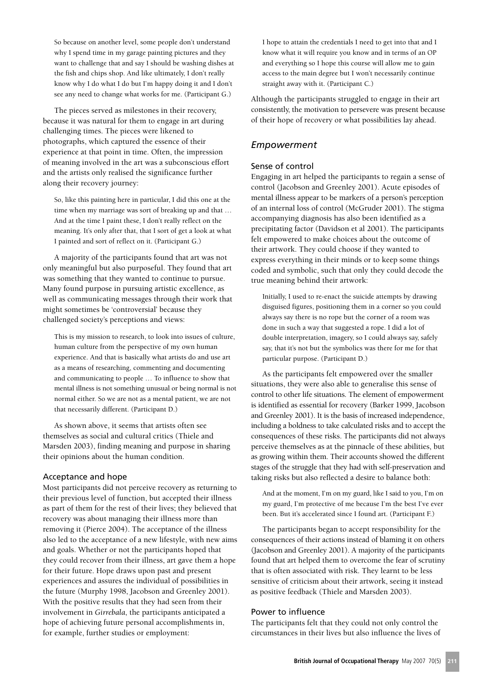So because on another level, some people don't understand why I spend time in my garage painting pictures and they want to challenge that and say I should be washing dishes at the fish and chips shop. And like ultimately, I don't really know why I do what I do but I'm happy doing it and I don't see any need to change what works for me. (Participant G.)

The pieces served as milestones in their recovery, because it was natural for them to engage in art during challenging times. The pieces were likened to photographs, which captured the essence of their experience at that point in time. Often, the impression of meaning involved in the art was a subconscious effort and the artists only realised the significance further along their recovery journey:

So, like this painting here in particular, I did this one at the time when my marriage was sort of breaking up and that ... And at the time I paint these, I don't really reflect on the meaning. It's only after that, that I sort of get a look at what I painted and sort of reflect on it. (Participant G.)

A majority of the participants found that art was not only meaningful but also purposeful. They found that art was something that they wanted to continue to pursue. Many found purpose in pursuing artistic excellence, as well as communicating messages through their work that might sometimes be 'controversial' because they challenged society's perceptions and views:

This is my mission to research, to look into issues of culture. human culture from the perspective of my own human experience. And that is basically what artists do and use art as a means of researching, commenting and documenting and communicating to people ... To influence to show that mental illness is not something unusual or being normal is not normal either. So we are not as a mental patient, we are not that necessarily different. (Participant D.)

As shown above, it seems that artists often see themselves as social and cultural critics (Thiele and Marsden 2003), finding meaning and purpose in sharing their opinions about the human condition.

#### Acceptance and hope

Most participants did not perceive recovery as returning to their previous level of function, but accepted their illness as part of them for the rest of their lives; they believed that recovery was about managing their illness more than removing it (Pierce 2004). The acceptance of the illness also led to the acceptance of a new lifestyle, with new aims and goals. Whether or not the participants hoped that they could recover from their illness, art gave them a hope for their future. Hope draws upon past and present experiences and assures the individual of possibilities in the future (Murphy 1998, Jacobson and Greenley 2001). With the positive results that they had seen from their involvement in Girrebala, the participants anticipated a hope of achieving future personal accomplishments in, for example, further studies or employment:

I hope to attain the credentials I need to get into that and I know what it will require you know and in terms of an OP and everything so I hope this course will allow me to gain access to the main degree but I won't necessarily continue straight away with it. (Participant C.)

Although the participants struggled to engage in their art consistently, the motivation to persevere was present because of their hope of recovery or what possibilities lay ahead.

# Empowerment

# Sense of control

Engaging in art helped the participants to regain a sense of control (Jacobson and Greenley 2001). Acute episodes of mental illness appear to be markers of a person's perception of an internal loss of control (McGruder 2001). The stigma accompanying diagnosis has also been identified as a precipitating factor (Davidson et al 2001). The participants felt empowered to make choices about the outcome of their artwork. They could choose if they wanted to express everything in their minds or to keep some things coded and symbolic, such that only they could decode the true meaning behind their artwork:

Initially, I used to re-enact the suicide attempts by drawing disguised figures, positioning them in a corner so you could always say there is no rope but the corner of a room was done in such a way that suggested a rope. I did a lot of double interpretation, imagery, so I could always say, safely say, that it's not but the symbolics was there for me for that particular purpose. (Participant D.)

As the participants felt empowered over the smaller situations, they were also able to generalise this sense of control to other life situations. The element of empowerment is identified as essential for recovery (Barker 1999, Jacobson and Greenley 2001). It is the basis of increased independence, including a boldness to take calculated risks and to accept the consequences of these risks. The participants did not always perceive themselves as at the pinnacle of these abilities, but as growing within them. Their accounts showed the different stages of the struggle that they had with self-preservation and taking risks but also reflected a desire to balance both:

And at the moment. I'm on my guard, like I said to you, I'm on my guard, I'm protective of me because I'm the best I've ever been. But it's accelerated since I found art. (Participant F.)

The participants began to accept responsibility for the consequences of their actions instead of blaming it on others (Jacobson and Greenley 2001). A majority of the participants found that art helped them to overcome the fear of scrutiny that is often associated with risk. They learnt to be less sensitive of criticism about their artwork, seeing it instead as positive feedback (Thiele and Marsden 2003).

#### Power to influence

The participants felt that they could not only control the circumstances in their lives but also influence the lives of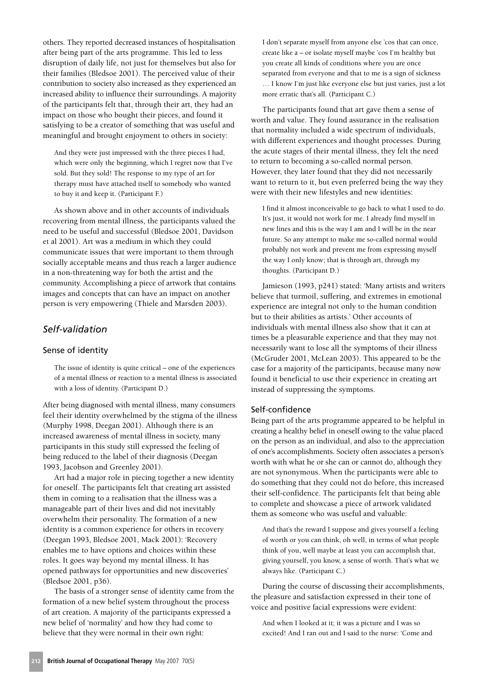others. They reported decreased instances of hospitalisation after being part of the arts programme. This led to less disruption of daily life, not just for themselves but also for their families (Bledsoe 2001). The perceived value of their contribution to society also increased as they experienced an increased ability to influence their surroundings. A majority of the participants felt that, through their art, they had an impact on those who bought their pieces, and found it satisfying to be a creator of something that was useful and meaningful and brought enjoyment to others in society:

And they were just impressed with the three pieces I had, which were only the beginning, which I regret now that I've sold. But they sold! The response to my type of art for therapy must have attached itself to somebody who wanted to buy it and keep it. (Participant F.)

As shown above and in other accounts of individuals recovering from mental illness, the participants valued the need to be useful and successful (Bledsoe 2001, Davidson et al 2001). Art was a medium in which they could communicate issues that were important to them through socially acceptable means and thus reach a larger audience in a non-threatening way for both the artist and the community. Accomplishing a piece of artwork that contains images and concepts that can have an impact on another person is very empowering (Thiele and Marsden 2003).

# Self-validation

#### Sense of identity

The issue of identity is quite critical – one of the experiences of a mental illness or reaction to a mental illness is associated with a loss of identity. (Participant D.)

After being diagnosed with mental illness, many consumers feel their identity overwhelmed by the stigma of the illness (Murphy 1998, Deegan 2001). Although there is an increased awareness of mental illness in society, many participants in this study still expressed the feeling of being reduced to the label of their diagnosis (Deegan 1993, Jacobson and Greenley 2001).

Art had a major role in piecing together a new identity for oneself. The participants felt that creating art assisted them in coming to a realisation that the illness was a manageable part of their lives and did not inevitably overwhelm their personality. The formation of a new identity is a common experience for others in recovery (Deegan 1993, Bledsoe 2001, Mack 2001): 'Recovery enables me to have options and choices within these roles. It goes way beyond my mental illness. It has opened pathways for opportunities and new discoveries' (Bledsoe 2001, p36).

The basis of a stronger sense of identity came from the formation of a new belief system throughout the process of art creation. A majority of the participants expressed a new belief of 'normality' and how they had come to believe that they were normal in their own right:

I don't separate myself from anyone else 'cos that can once, create like a - or isolate myself maybe 'cos I'm healthy but you create all kinds of conditions where you are once separated from everyone and that to me is a sign of sickness ... I know I'm just like everyone else but just varies, just a lot more erratic that's all. (Participant C.)

The participants found that art gave them a sense of worth and value. They found assurance in the realisation that normality included a wide spectrum of individuals, with different experiences and thought processes. During the acute stages of their mental illness, they felt the need to return to becoming a so-called normal person. However, they later found that they did not necessarily want to return to it, but even preferred being the way they were with their new lifestyles and new identities:

I find it almost inconceivable to go back to what I used to do. It's just, it would not work for me. I already find myself in new lines and this is the way I am and I will be in the near future. So any attempt to make me so-called normal would probably not work and prevent me from expressing myself the way I only know; that is through art, through my thoughts. (Participant D.)

Jamieson (1993, p241) stated: 'Many artists and writers believe that turmoil, suffering, and extremes in emotional experience are integral not only to the human condition but to their abilities as artists.' Other accounts of individuals with mental illness also show that it can at times be a pleasurable experience and that they may not necessarily want to lose all the symptoms of their illness (McGruder 2001, McLean 2003). This appeared to be the case for a majority of the participants, because many now found it beneficial to use their experience in creating art instead of suppressing the symptoms.

#### Self-confidence

Being part of the arts programme appeared to be helpful in creating a healthy belief in oneself owing to the value placed on the person as an individual, and also to the appreciation of one's accomplishments. Society often associates a person's worth with what he or she can or cannot do, although they are not synonymous. When the participants were able to do something that they could not do before, this increased their self-confidence. The participants felt that being able to complete and showcase a piece of artwork validated them as someone who was useful and valuable:

And that's the reward I suppose and gives yourself a feeling of worth or you can think, oh well, in terms of what people think of you, well maybe at least you can accomplish that, giving yourself, you know, a sense of worth. That's what we always like. (Participant C.)

During the course of discussing their accomplishments, the pleasure and satisfaction expressed in their tone of voice and positive facial expressions were evident:

And when I looked at it; it was a picture and I was so excited! And I ran out and I said to the nurse: 'Come and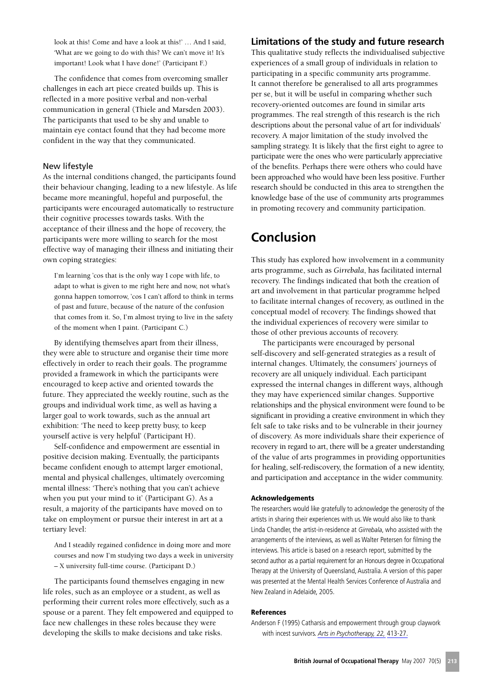look at this! Come and have a look at this!' ... And I said. 'What are we going to do with this? We can't move it! It's important! Look what I have done!' (Participant F.)

The confidence that comes from overcoming smaller challenges in each art piece created builds up. This is reflected in a more positive verbal and non-verbal communication in general (Thiele and Marsden 2003). The participants that used to be shy and unable to maintain eye contact found that they had become more confident in the way that they communicated.

#### New lifestyle

As the internal conditions changed, the participants found their behaviour changing, leading to a new lifestyle. As life became more meaningful, hopeful and purposeful, the participants were encouraged automatically to restructure their cognitive processes towards tasks. With the acceptance of their illness and the hope of recovery, the participants were more willing to search for the most effective way of managing their illness and initiating their own coping strategies:

I'm learning 'cos that is the only way I cope with life, to adapt to what is given to me right here and now, not what's gonna happen tomorrow, 'cos I can't afford to think in terms of past and future, because of the nature of the confusion that comes from it. So, I'm almost trying to live in the safety of the moment when I paint. (Participant C.)

By identifying themselves apart from their illness, they were able to structure and organise their time more effectively in order to reach their goals. The programme provided a framework in which the participants were encouraged to keep active and oriented towards the future. They appreciated the weekly routine, such as the groups and individual work time, as well as having a larger goal to work towards, such as the annual art exhibition: 'The need to keep pretty busy, to keep yourself active is very helpful' (Participant H).

Self-confidence and empowerment are essential in positive decision making. Eventually, the participants became confident enough to attempt larger emotional, mental and physical challenges, ultimately overcoming mental illness: 'There's nothing that you can't achieve when you put your mind to it' (Participant G). As a result, a majority of the participants have moved on to take on employment or pursue their interest in art at a tertiary level:

And I steadily regained confidence in doing more and more courses and now I'm studying two days a week in university - X university full-time course. (Participant D.)

The participants found themselves engaging in new life roles, such as an employee or a student, as well as performing their current roles more effectively, such as a spouse or a parent. They felt empowered and equipped to face new challenges in these roles because they were developing the skills to make decisions and take risks.

# Limitations of the study and future research

This qualitative study reflects the individualised subjective experiences of a small group of individuals in relation to participating in a specific community arts programme. It cannot therefore be generalised to all arts programmes per se, but it will be useful in comparing whether such recovery-oriented outcomes are found in similar arts programmes. The real strength of this research is the rich descriptions about the personal value of art for individuals' recovery. A major limitation of the study involved the sampling strategy. It is likely that the first eight to agree to participate were the ones who were particularly appreciative of the benefits. Perhaps there were others who could have been approached who would have been less positive. Further research should be conducted in this area to strengthen the knowledge base of the use of community arts programmes in promoting recovery and community participation.

# Conclusion

This study has explored how involvement in a community arts programme, such as Girrebala, has facilitated internal recovery. The findings indicated that both the creation of art and involvement in that particular programme helped to facilitate internal changes of recovery, as outlined in the conceptual model of recovery. The findings showed that the individual experiences of recovery were similar to those of other previous accounts of recovery.

The participants were encouraged by personal self-discovery and self-generated strategies as a result of internal changes. Ultimately, the consumers' journeys of recovery are all uniquely individual. Each participant expressed the internal changes in different ways, although they may have experienced similar changes. Supportive relationships and the physical environment were found to be significant in providing a creative environment in which they felt safe to take risks and to be vulnerable in their journey of discovery. As more individuals share their experience of recovery in regard to art, there will be a greater understanding of the value of arts programmes in providing opportunities for healing, self-rediscovery, the formation of a new identity, and participation and acceptance in the wider community.

#### **Acknowledgements**

The researchers would like gratefully to acknowledge the generosity of the artists in sharing their experiences with us. We would also like to thank Linda Chandler, the artist-in-residence at Girrebala, who assisted with the arrangements of the interviews, as well as Walter Petersen for filming the interviews. This article is based on a research report, submitted by the second author as a partial requirement for an Honours degree in Occupational Therapy at the University of Queensland, Australia. A version of this paper was presented at the Mental Health Services Conference of Australia and New Zealand in Adelaide, 2005.

#### **References**

Anderson F (1995) Catharsis and empowerment through group claywork with incest survivors. Arts in Psychotherapy, 22, 413-27.